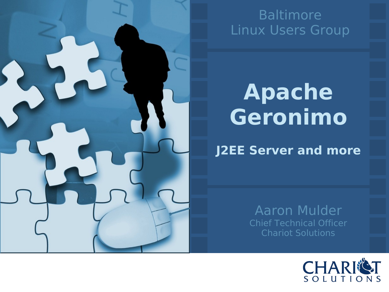![](_page_0_Picture_0.jpeg)

#### Baltimore Linux Users Group

#### **Apache Geronimo**

**J2EE Server and more**

Aaron Mulder Chief Technical Officer Chariot Solutions

![](_page_0_Picture_5.jpeg)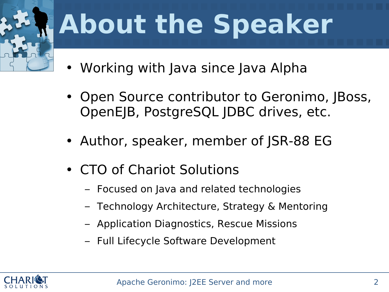![](_page_1_Picture_0.jpeg)

#### **About the Speaker**

- Working with Java since Java Alpha
- Open Source contributor to Geronimo, JBoss, OpenEJB, PostgreSQL JDBC drives, etc.
- Author, speaker, member of JSR-88 EG
- CTO of Chariot Solutions
	- Focused on Java and related technologies
	- Technology Architecture, Strategy & Mentoring
	- Application Diagnostics, Rescue Missions
	- Full Lifecycle Software Development

![](_page_1_Picture_10.jpeg)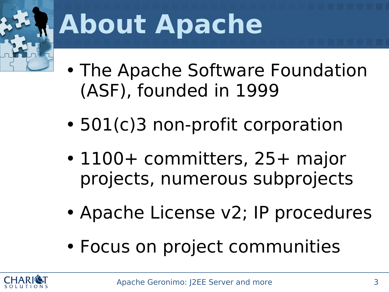![](_page_2_Picture_0.jpeg)

#### **About Apache**

- The Apache Software Foundation (ASF), founded in 1999
- 501(c)3 non-profit corporation
- 1100+ committers, 25+ major projects, numerous subprojects
- Apache License v2; IP procedures
- Focus on project communities

![](_page_2_Picture_7.jpeg)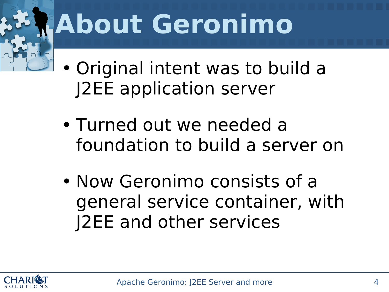#### **About Geronimo**

- Original intent was to build a J2EE application server
- Turned out we needed a foundation to build a server on
- Now Geronimo consists of a general service container, with J2EE and other services

![](_page_3_Picture_4.jpeg)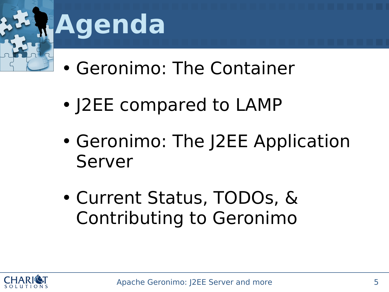![](_page_4_Picture_0.jpeg)

#### **Agenda**

- Geronimo: The Container
- J2EE compared to LAMP
- Geronimo: The J2EE Application Server
- Current Status, TODOs, & Contributing to Geronimo

![](_page_4_Picture_6.jpeg)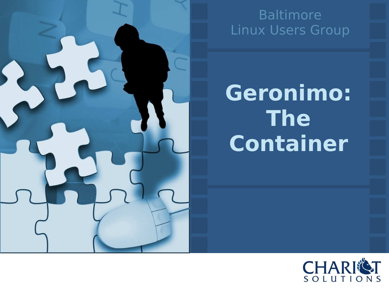![](_page_5_Picture_0.jpeg)

#### Baltimore Linux Users Group

**Geronimo: The Container**

![](_page_5_Picture_3.jpeg)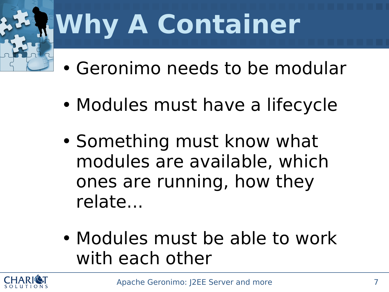# **Why A Container**

- Geronimo needs to be modular
- Modules must have a lifecycle
- Something must know what modules are available, which ones are running, how they relate...
- Modules must be able to work with each other

![](_page_6_Picture_5.jpeg)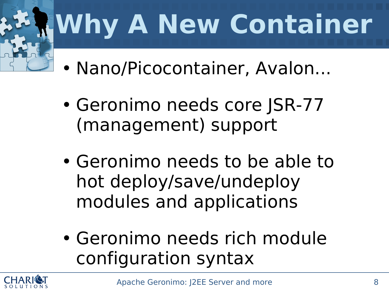![](_page_7_Picture_0.jpeg)

## **Why A New Container**

- Nano/Picocontainer, Avalon...
- Geronimo needs core JSR-77 (management) support
- Geronimo needs to be able to hot deploy/save/undeploy modules and applications
- Geronimo needs rich module configuration syntax

![](_page_7_Picture_6.jpeg)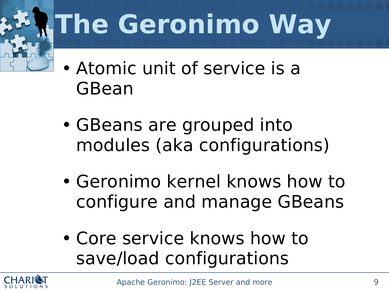![](_page_8_Picture_0.jpeg)

# **The Geronimo Way**

- Atomic unit of service is a GBean
- GBeans are grouped into modules (aka configurations)
- Geronimo kernel knows how to configure and manage GBeans
- Core service knows how to save/load configurations

![](_page_8_Picture_6.jpeg)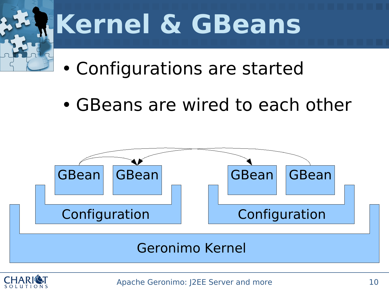![](_page_9_Picture_0.jpeg)

#### **Kernel & GBeans**

- Configurations are started
- GBeans are wired to each other

![](_page_9_Figure_4.jpeg)

![](_page_9_Picture_5.jpeg)

Apache Geronimo: I2EE Server and more 10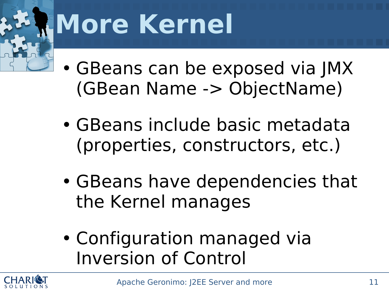#### **More Kernel**

- GBeans can be exposed via JMX (GBean Name -> ObjectName)
- GBeans include basic metadata (properties, constructors, etc.)
- GBeans have dependencies that the Kernel manages
- Configuration managed via Inversion of Control

![](_page_10_Picture_5.jpeg)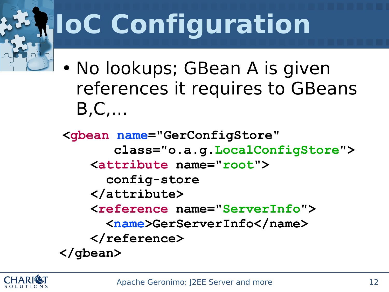# **IoC Configuration**

• No lookups; GBean A is given references it requires to GBeans B,C,...

**<gbean name="GerConfigStore" class="o.a.g.LocalConfigStore"> <attribute name="root"> config-store </attribute> <reference name="ServerInfo"> <name>GerServerInfo</name> </reference> </gbean>**

![](_page_11_Picture_3.jpeg)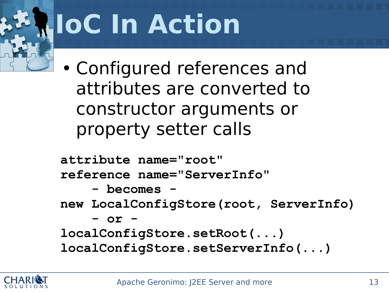# **IoC In Action**

• Configured references and attributes are converted to constructor arguments or property setter calls

**attribute name="root"**

**reference name="ServerInfo"**

**- becomes -**

**new LocalConfigStore(root, ServerInfo)**

**- or -**

**localConfigStore.setRoot(...) localConfigStore.setServerInfo(...)**

![](_page_12_Picture_8.jpeg)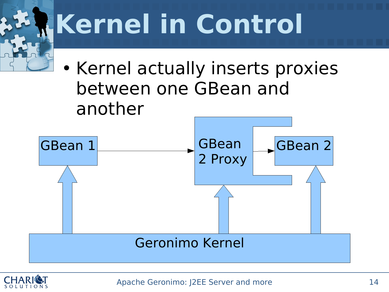![](_page_13_Figure_0.jpeg)

![](_page_13_Picture_1.jpeg)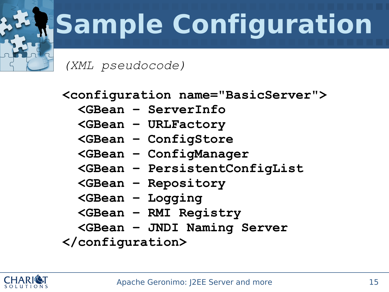# **Sample Configuration**

*(XML pseudocode)*

**<configuration name="BasicServer">**

- **<GBean – ServerInfo**
- **<GBean – URLFactory**
- **<GBean – ConfigStore**
- **<GBean – ConfigManager**
- **<GBean – PersistentConfigList**
- **<GBean – Repository**
- **<GBean – Logging**
- **<GBean – RMI Registry**
- **<GBean – JNDI Naming Server**

**</configuration>**

![](_page_14_Picture_13.jpeg)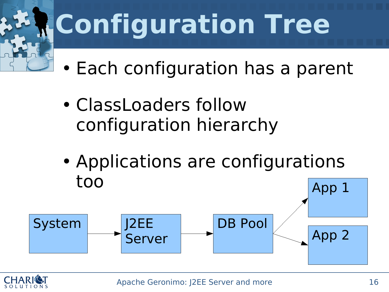![](_page_15_Picture_0.jpeg)

## **Configuration Tree**

- Each configuration has a parent
- ClassLoaders follow configuration hierarchy
- Applications are configurations too App 1

![](_page_15_Figure_5.jpeg)

![](_page_15_Picture_6.jpeg)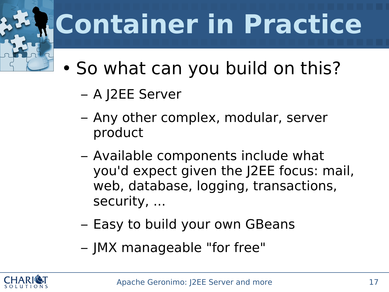# **Container in Practice**

- So what can you build on this?
	- A J2EE Server
	- Any other complex, modular, server product
	- Available components include what you'd expect given the J2EE focus: mail, web, database, logging, transactions, security, ...
	- Easy to build your own GBeans
	- JMX manageable "for free"

![](_page_16_Picture_7.jpeg)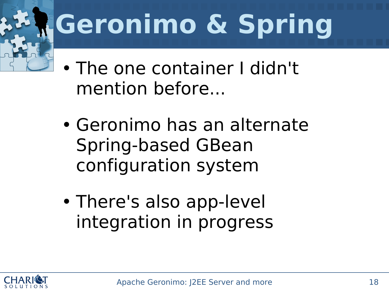# **Geronimo & Spring**

- The one container I didn't mention before...
- Geronimo has an alternate Spring-based GBean configuration system
- There's also app-level integration in progress

![](_page_17_Picture_4.jpeg)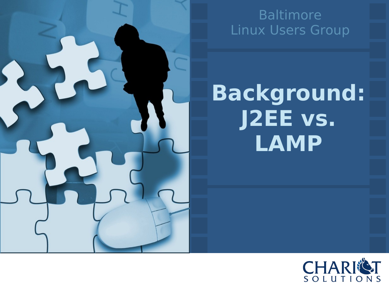![](_page_18_Picture_0.jpeg)

#### Baltimore Linux Users Group

#### **Background: J2EE vs. LAMP**

![](_page_18_Picture_3.jpeg)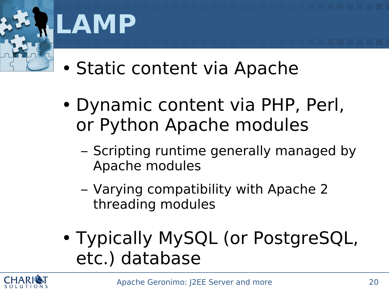![](_page_19_Picture_0.jpeg)

#### **LAMP**

- Static content via Apache
- Dynamic content via PHP, Perl, or Python Apache modules
	- Scripting runtime generally managed by Apache modules
	- Varying compatibility with Apache 2 threading modules
- Typically MySQL (or PostgreSQL, etc.) database

![](_page_19_Picture_7.jpeg)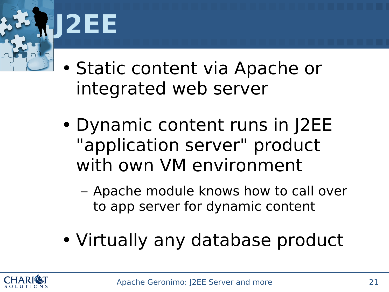![](_page_20_Picture_0.jpeg)

• Static content via Apache or integrated web server

• Dynamic content runs in J2EE "application server" product with own VM environment

– Apache module knows how to call over to app server for dynamic content

• Virtually any database product

![](_page_20_Picture_5.jpeg)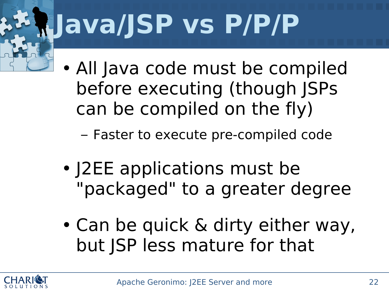# **Java/JSP vs P/P/P**

• All Java code must be compiled before executing (though JSPs can be compiled on the fly)

– Faster to execute pre-compiled code

- J2EE applications must be "packaged" to a greater degree
- Can be quick & dirty either way, but JSP less mature for that

![](_page_21_Picture_5.jpeg)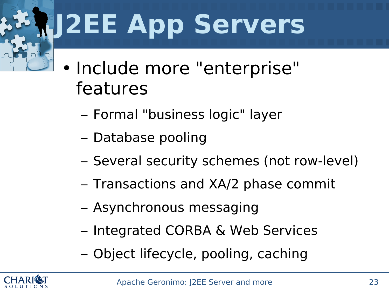# **J2EE App Servers**

- Include more "enterprise" features
	- Formal "business logic" layer
	- Database pooling
	- Several security schemes (not row-level)
	- Transactions and XA/2 phase commit
	- Asynchronous messaging
	- Integrated CORBA & Web Services
	- Object lifecycle, pooling, caching

![](_page_22_Picture_9.jpeg)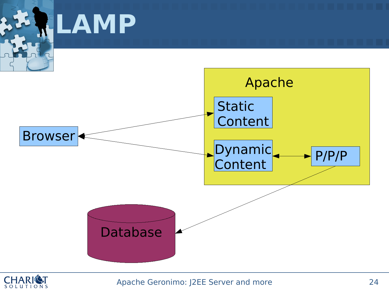![](_page_23_Figure_0.jpeg)

![](_page_23_Picture_1.jpeg)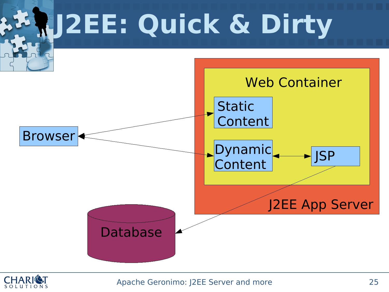![](_page_24_Figure_0.jpeg)

![](_page_24_Picture_1.jpeg)

Apache Geronimo: J2EE Server and more 25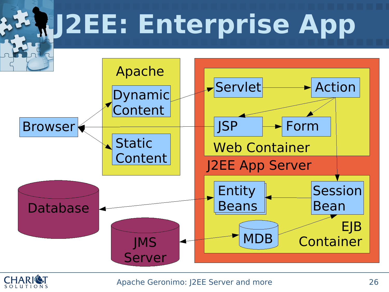![](_page_25_Figure_0.jpeg)

![](_page_25_Picture_1.jpeg)

Apache Geronimo: J2EE Server and more 26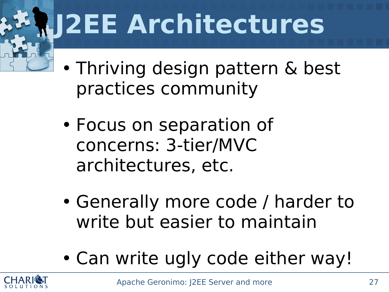## **J2EE Architectures**

- Thriving design pattern & best practices community
- Focus on separation of concerns: 3-tier/MVC architectures, etc.
- Generally more code / harder to write but easier to maintain
- Can write ugly code either way!

![](_page_26_Picture_5.jpeg)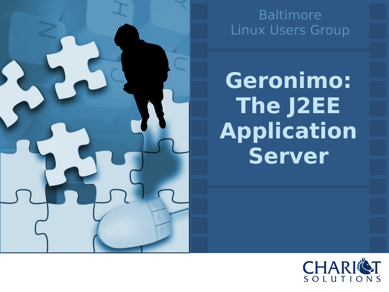![](_page_27_Picture_0.jpeg)

#### Baltimore Linux Users Group

**Geronimo: The J2EE Application Server**

![](_page_27_Picture_3.jpeg)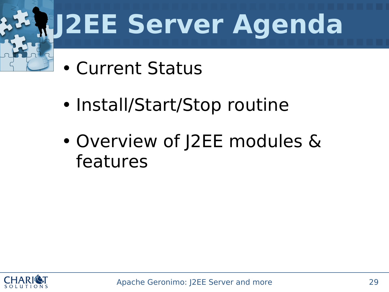# **J2EE Server Agenda**

- Current Status
- Install/Start/Stop routine
- Overview of J2EE modules & features

![](_page_28_Picture_4.jpeg)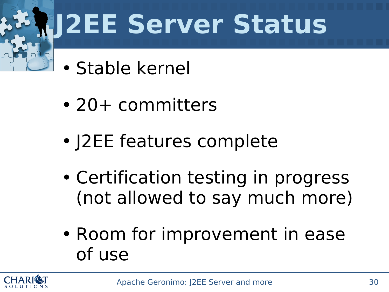# **J2EE Server Status**

- Stable kernel
- 20+ committers
- J2EE features complete
- Certification testing in progress (not allowed to say much more)
- Room for improvement in ease of use

![](_page_29_Picture_6.jpeg)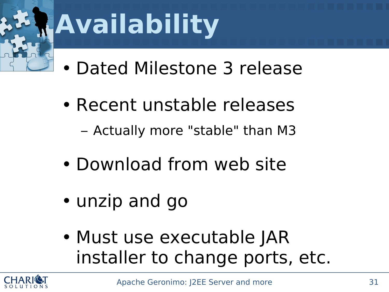![](_page_30_Picture_0.jpeg)

#### **Availability**

- Dated Milestone 3 release
- Recent unstable releases – Actually more "stable" than M3
- Download from web site
- unzip and go
- Must use executable JAR installer to change ports, etc.

![](_page_30_Picture_7.jpeg)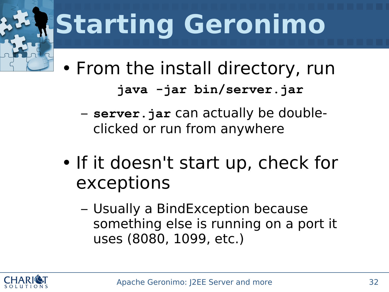# **Starting Geronimo**

• From the install directory, run **java -jar bin/server.jar**

- **server.jar** can actually be doubleclicked or run from anywhere
- If it doesn't start up, check for exceptions
	- Usually a BindException because something else is running on a port it uses (8080, 1099, etc.)

![](_page_31_Picture_5.jpeg)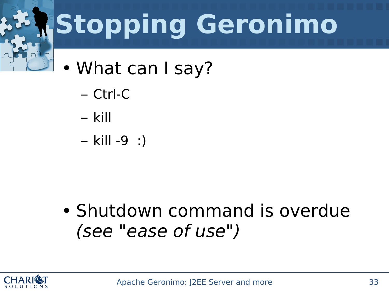![](_page_32_Picture_0.jpeg)

# **Stopping Geronimo**

- What can I say?
	- Ctrl-C
	- kill
	- kill -9 :)

• Shutdown command is overdue (see "ease of use")

![](_page_32_Picture_7.jpeg)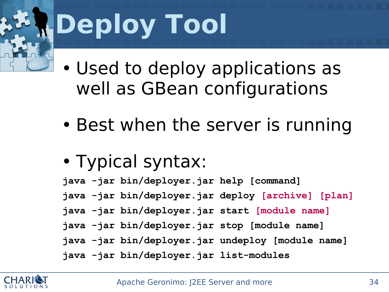![](_page_33_Picture_0.jpeg)

# **Deploy Tool**

• Used to deploy applications as well as GBean configurations

- Best when the server is running
- Typical syntax:

**java -jar bin/deployer.jar help [command]**

- **java -jar bin/deployer.jar deploy [archive] [plan]**
- **java -jar bin/deployer.jar start [module name]**
- **java -jar bin/deployer.jar stop [module name]**
- **java -jar bin/deployer.jar undeploy [module name]**
- **java -jar bin/deployer.jar list-modules**

![](_page_33_Picture_11.jpeg)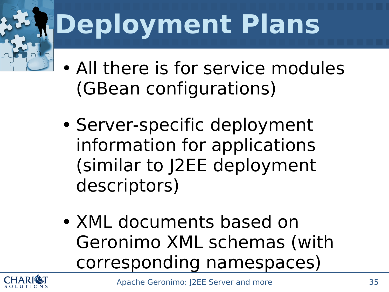# **Deployment Plans**

- All there is for service modules (GBean configurations)
- Server-specific deployment information for applications (similar to J2EE deployment descriptors)
- XML documents based on Geronimo XML schemas (with corresponding namespaces)

![](_page_34_Picture_4.jpeg)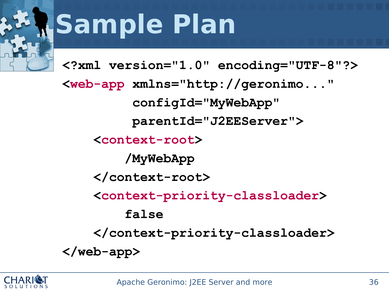#### **Sample Plan**

**<?xml version="1.0" encoding="UTF-8"?>**

**<web-app xmlns="http://geronimo..." configId="MyWebApp" parentId="J2EEServer"> <context-root> /MyWebApp </context-root> <context-priority-classloader> false </context-priority-classloader> </web-app>**

![](_page_35_Picture_4.jpeg)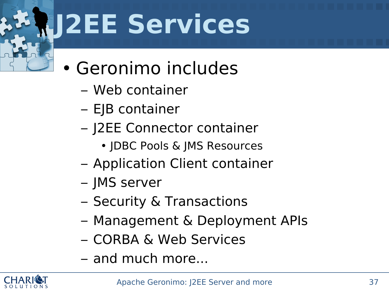#### **J2EE Services**

- Geronimo includes
	- Web container
	- EJB container
	- J2EE Connector container
		- JDBC Pools & JMS Resources
	- Application Client container
	- JMS server
	- Security & Transactions
	- Management & Deployment APIs
	- CORBA & Web Services
	- and much more...

![](_page_36_Picture_12.jpeg)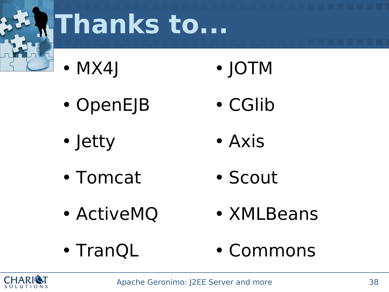![](_page_37_Picture_0.jpeg)

#### **Thanks to...**

- MX4J • JOTM
- OpenEJB
- Jetty

• Axis

• CGlib

- Tomcat • Scout
- ActiveMQ
- XMLBeans
- TranQL • Commons

![](_page_37_Picture_10.jpeg)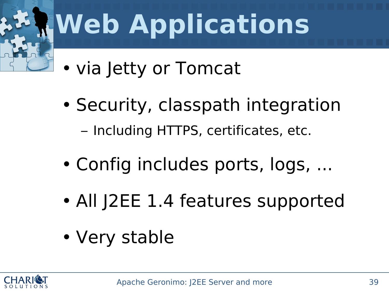![](_page_38_Picture_0.jpeg)

#### **Web Applications**

- via Jetty or Tomcat
- Security, classpath integration – Including HTTPS, certificates, etc.
- Config includes ports, logs, ...
- All J2EE 1.4 features supported
- Very stable

![](_page_38_Picture_7.jpeg)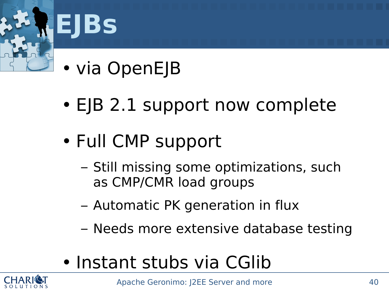![](_page_39_Picture_0.jpeg)

#### **EJBs**

- via OpenEJB
- EJB 2.1 support now complete
- Full CMP support
	- Still missing some optimizations, such as CMP/CMR load groups
	- Automatic PK generation in flux
	- Needs more extensive database testing
- Instant stubs via CGlib

![](_page_39_Picture_9.jpeg)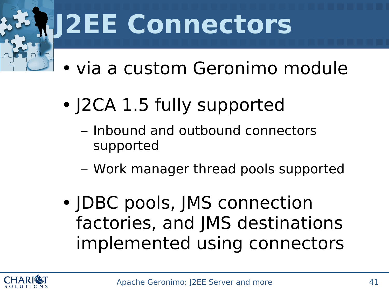#### **J2EE Connectors**

- via a custom Geronimo module
- J2CA 1.5 fully supported
	- Inbound and outbound connectors supported
	- Work manager thread pools supported
- JDBC pools, JMS connection factories, and JMS destinations implemented using connectors

![](_page_40_Picture_6.jpeg)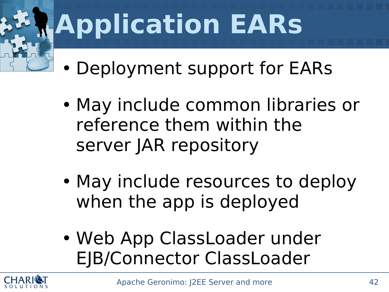# **Application EARs**

- Deployment support for EARs
- May include common libraries or reference them within the server JAR repository
- May include resources to deploy when the app is deployed
- Web App ClassLoader under EJB/Connector ClassLoader

![](_page_41_Picture_5.jpeg)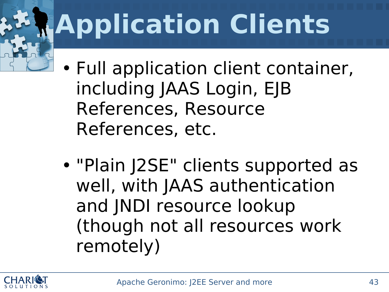# **Application Clients**

- Full application client container, including JAAS Login, EJB References, Resource References, etc.
- "Plain J2SE" clients supported as well, with JAAS authentication and JNDI resource lookup (though not all resources work remotely)

![](_page_42_Picture_3.jpeg)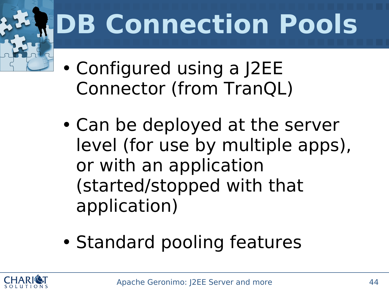# **DB Connection Pools**

- Configured using a J2EE Connector (from TranQL)
- Can be deployed at the server level (for use by multiple apps), or with an application (started/stopped with that application)
- Standard pooling features

![](_page_43_Picture_4.jpeg)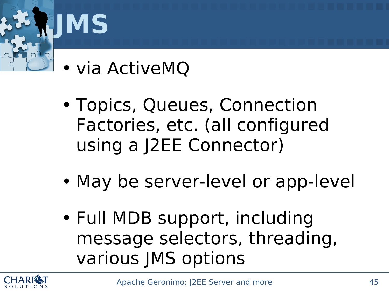![](_page_44_Picture_0.jpeg)

- via ActiveMQ
- Topics, Queues, Connection Factories, etc. (all configured using a J2EE Connector)
- May be server-level or app-level
- Full MDB support, including message selectors, threading, various JMS options

![](_page_44_Picture_5.jpeg)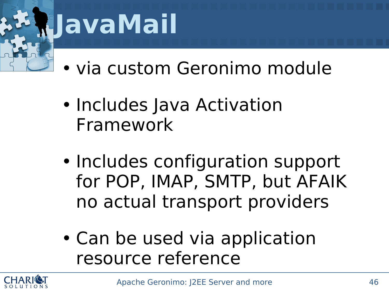![](_page_45_Picture_0.jpeg)

#### **JavaMail**

- via custom Geronimo module
- Includes Java Activation Framework
- Includes configuration support for POP, IMAP, SMTP, but AFAIK no actual transport providers
- Can be used via application resource reference

![](_page_45_Picture_6.jpeg)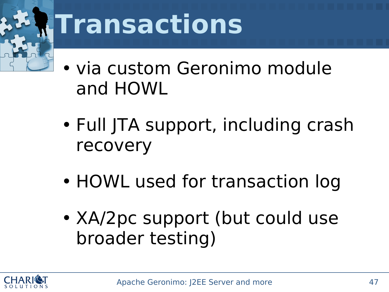![](_page_46_Picture_0.jpeg)

#### **Transactions**

- via custom Geronimo module and HOWL
- Full JTA support, including crash recovery
- HOWL used for transaction log
- XA/2pc support (but could use broader testing)

![](_page_46_Picture_6.jpeg)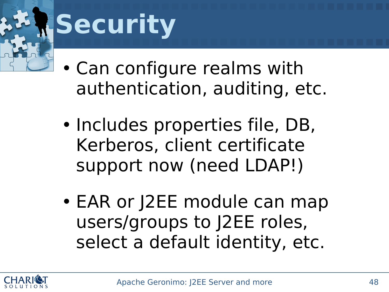![](_page_47_Picture_0.jpeg)

#### **Security**

• Can configure realms with authentication, auditing, etc.

- Includes properties file, DB, Kerberos, client certificate support now (need LDAP!)
- EAR or J2EE module can map users/groups to J2EE roles, select a default identity, etc.

![](_page_47_Picture_5.jpeg)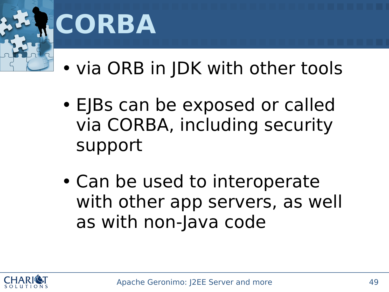![](_page_48_Picture_0.jpeg)

![](_page_48_Picture_1.jpeg)

• via ORB in JDK with other tools

- EJBs can be exposed or called via CORBA, including security support
- Can be used to interoperate with other app servers, as well as with non-Java code

![](_page_48_Picture_5.jpeg)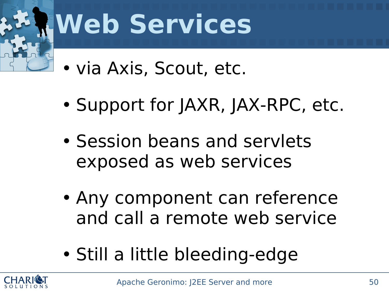![](_page_49_Picture_0.jpeg)

#### **Web Services**

- via Axis, Scout, etc.
- Support for JAXR, JAX-RPC, etc.
- Session beans and servlets exposed as web services
- Any component can reference and call a remote web service
- Still a little bleeding-edge

![](_page_49_Picture_7.jpeg)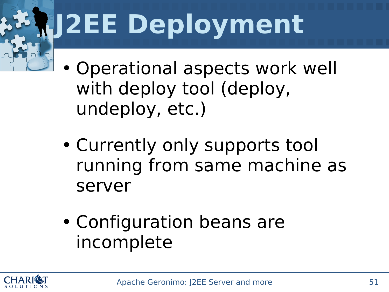# **J2EE Deployment**

- Operational aspects work well with deploy tool (deploy, undeploy, etc.)
- Currently only supports tool running from same machine as server
- Configuration beans are incomplete

![](_page_50_Picture_4.jpeg)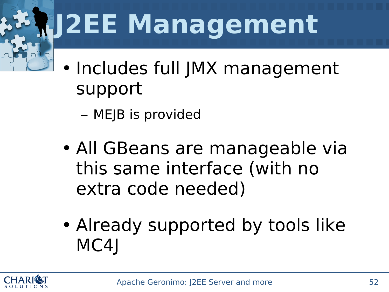## **J2EE Management**

- Includes full JMX management support
	- MEJB is provided
- All GBeans are manageable via this same interface (with no extra code needed)
- Already supported by tools like MC4<sub>I</sub>

![](_page_51_Picture_5.jpeg)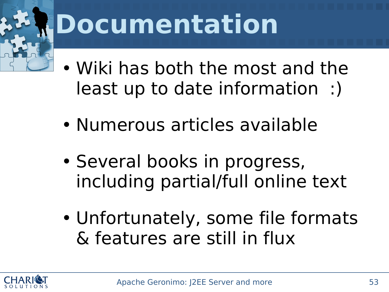![](_page_52_Picture_0.jpeg)

#### **Documentation**

- Wiki has both the most and the least up to date information :)
- Numerous articles available
- Several books in progress, including partial/full online text
- Unfortunately, some file formats & features are still in flux

![](_page_52_Picture_6.jpeg)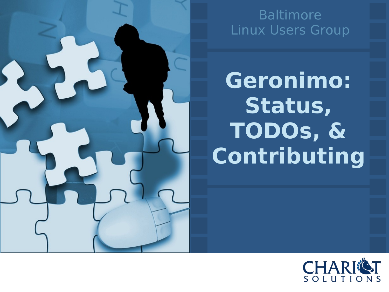![](_page_53_Picture_0.jpeg)

#### Baltimore Linux Users Group

**Geronimo: Status, TODOs, & Contributing**

![](_page_53_Picture_3.jpeg)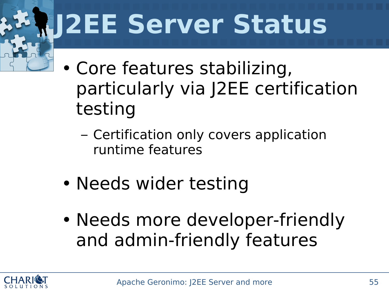#### **J2EE Server Status**

- Core features stabilizing, particularly via J2EE certification testing
	- Certification only covers application runtime features
- Needs wider testing
- Needs more developer-friendly and admin-friendly features

![](_page_54_Picture_5.jpeg)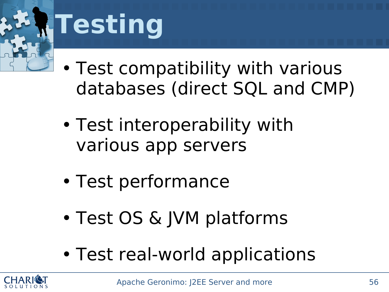![](_page_55_Picture_0.jpeg)

#### **Testing**

• Test compatibility with various databases (direct SQL and CMP)

- Test interoperability with various app servers
- Test performance
- Test OS & JVM platforms
- Test real-world applications

![](_page_55_Picture_7.jpeg)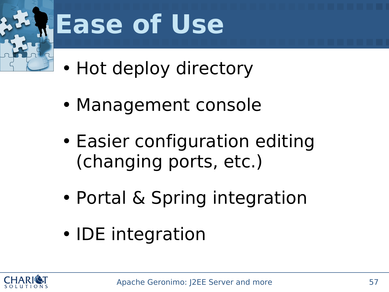![](_page_56_Picture_0.jpeg)

#### **Ease of Use**

- Hot deploy directory
- Management console
- Easier configuration editing (changing ports, etc.)
- Portal & Spring integration
- IDE integration

![](_page_56_Picture_7.jpeg)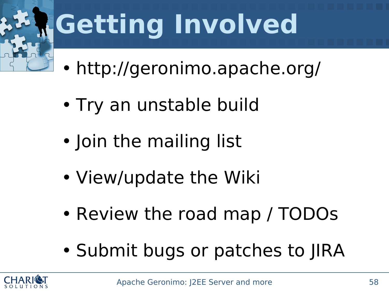![](_page_57_Picture_0.jpeg)

## **Getting Involved**

- http://geronimo.apache.org/
- Try an unstable build
- Join the mailing list
- View/update the Wiki
- Review the road map / TODOs
- Submit bugs or patches to JIRA

![](_page_57_Picture_8.jpeg)